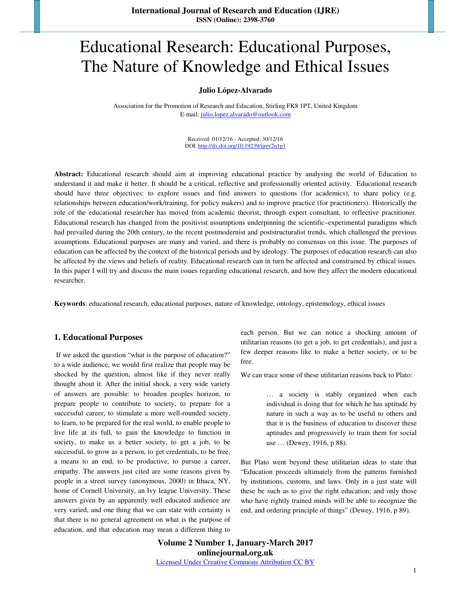# Educational Research: Educational Purposes, The Nature of Knowledge and Ethical Issues

#### **Julio López-Alvarado**

Association for the Promotion of Research and Education, Stirling FK8 1PT, United Kingdom E-mail: julio.lopez.alvarado@outlook.com

> Received: 01/12/16 - Accepted: 30/12/16 DOI: http://dx.doi.org/10.19239/ijrev2n1p1

**Abstract:** Educational research should aim at improving educational practice by analysing the world of Education to understand it and make it better. It should be a critical, reflective and professionally oriented activity. Educational research should have three objectives: to explore issues and find answers to questions (for academics), to share policy (e.g. relationships between education/work/training, for policy makers) and to improve practice (for practitioners). Historically the role of the educational researcher has moved from academic theorist, through expert consultant, to reflective practitioner. Educational research has changed from the positivist assumptions underpinning the scientific–experimental paradigms which had prevailed during the 20th century, to the recent postmodernist and poststructuralist trends, which challenged the previous assumptions. Educational purposes are many and varied, and there is probably no consensus on this issue. The purposes of education can be affected by the context of the historical periods and by ideology. The purposes of education research can also be affected by the views and beliefs of reality. Educational research can in turn be affected and constrained by ethical issues. In this paper I will try and discuss the main issues regarding educational research, and how they affect the modern educational researcher.

**Keywords**: educational research, educational purposes, nature of knowledge, ontology, epistemology, ethical issues

#### **1. Educational Purposes**

 If we asked the question "what is the purpose of education?" to a wide audience, we would first realize that people may be shocked by the question, almost like if they never really thought about it. After the initial shock, a very wide variety of answers are possible: to broaden peoples horizon, to prepare people to contribute to society, to prepare for a successful career, to stimulate a more well-rounded society, to learn, to be prepared for the real world, to enable people to live life at its full, to gain the knowledge to function in society, to make us a better society, to get a job, to be successful, to grow as a person, to get credentials, to be free, a means to an end, to be productive, to pursue a career, empathy. The answers just cited are some reasons given by people in a street survey (anonymous, 2000) in Ithaca, NY, home of Cornell University, an Ivy league University. These answers given by an apparently well educated audience are very varied, and one thing that we can state with certainty is that there is no general agreement on what is the purpose of education, and that education may mean a different thing to each person. But we can notice a shocking amount of utilitarian reasons (to get a job, to get credentials), and just a few deeper reasons like to make a better society, or to be free.

We can trace some of these utilitarian reasons back to Plato:

… a society is stably organized when each individual is doing that for which he has aptitude by nature in such a way as to be useful to others and that it is the business of education to discover these aptitudes and progressively to train them for social use … (Dewey, 1916, p 88).

But Plato went beyond these utilitarian ideas to state that "Education proceeds ultimately from the patterns furnished by institutions, customs, and laws. Only in a just state will these be such as to give the right education; and only those who have rightly trained minds will be able to recognize the end, and ordering principle of things" (Dewey, 1916, p 89).

**Volume 2 Number 1, January-March 2017 onlinejournal.org.uk**  Licensed Under Creative Commons Attribution CC BY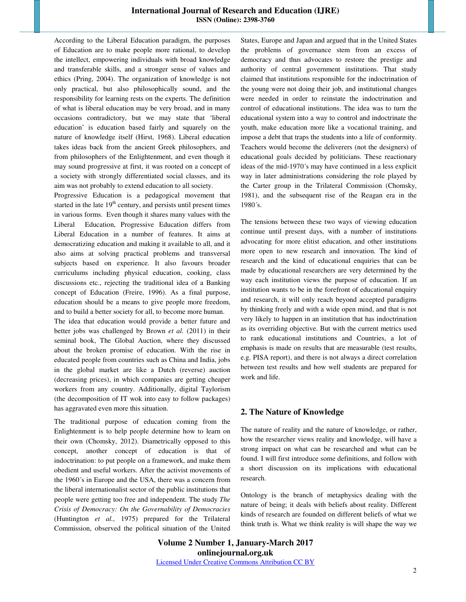According to the Liberal Education paradigm, the purposes of Education are to make people more rational, to develop the intellect, empowering individuals with broad knowledge and transferable skills, and a stronger sense of values and ethics (Pring, 2004). The organization of knowledge is not only practical, but also philosophically sound, and the responsibility for learning rests on the experts. The definition of what is liberal education may be very broad, and in many occasions contradictory, but we may state that 'liberal education' is education based fairly and squarely on the nature of knowledge itself (Hirst, 1968). Liberal education takes ideas back from the ancient Greek philosophers, and from philosophers of the Enlightenment, and even though it may sound progressive at first, it was rooted on a concept of a society with strongly differentiated social classes, and its aim was not probably to extend education to all society.

Progressive Education is a pedagogical movement that started in the late  $19<sup>th</sup>$  century, and persists until present times in various forms. Even though it shares many values with the Liberal Education, Progressive Education differs from Liberal Education in a number of features. It aims at democratizing education and making it available to all, and it also aims at solving practical problems and transversal subjects based on experience. It also favours broader curriculums including physical education, cooking, class discussions etc., rejecting the traditional idea of a Banking concept of Education (Freire, 1996). As a final purpose, education should be a means to give people more freedom, and to build a better society for all, to become more human.

The idea that education would provide a better future and better jobs was challenged by Brown *et al.* (2011) in their seminal book, The Global Auction, where they discussed about the broken promise of education. With the rise in educated people from countries such as China and India, jobs in the global market are like a Dutch (reverse) auction (decreasing prices), in which companies are getting cheaper workers from any country. Additionally, digital Taylorism (the decomposition of IT wok into easy to follow packages) has aggravated even more this situation.

The traditional purpose of education coming from the Enlightenment is to help people determine how to learn on their own (Chomsky, 2012). Diametrically opposed to this concept, another concept of education is that of indoctrination: to put people on a framework, and make them obedient and useful workers. After the activist movements of the 1960´s in Europe and the USA, there was a concern from the liberal internationalist sector of the public institutions that people were getting too free and independent. The study *The Crisis of Democracy: On the Governability of Democracies* (Huntington *et al.,* 1975) prepared for the Trilateral Commission, observed the political situation of the United States, Europe and Japan and argued that in the United States the problems of governance stem from an excess of democracy and thus advocates to restore the prestige and authority of central government institutions. That study claimed that institutions responsible for the indoctrination of the young were not doing their job, and institutional changes were needed in order to reinstate the indoctrination and control of educational institutions. The idea was to turn the educational system into a way to control and indoctrinate the youth, make education more like a vocational training, and impose a debt that traps the students into a life of conformity. Teachers would become the deliverers (not the designers) of educational goals decided by politicians. These reactionary ideas of the mid-1970´s may have continued in a less explicit way in later administrations considering the role played by the Carter group in the Trilateral Commission (Chomsky, 1981), and the subsequent rise of the Reagan era in the 1980´s.

The tensions between these two ways of viewing education continue until present days, with a number of institutions advocating for more elitist education, and other institutions more open to new research and innovation. The kind of research and the kind of educational enquiries that can be made by educational researchers are very determined by the way each institution views the purpose of education. If an institution wants to be in the forefront of educational enquiry and research, it will only reach beyond accepted paradigms by thinking freely and with a wide open mind, and that is not very likely to happen in an institution that has indoctrination as its overriding objective. But with the current metrics used to rank educational institutions and Countries, a lot of emphasis is made on results that are measurable (test results, e.g. PISA report), and there is not always a direct correlation between test results and how well students are prepared for work and life.

#### **2. The Nature of Knowledge**

The nature of reality and the nature of knowledge, or rather, how the researcher views reality and knowledge, will have a strong impact on what can be researched and what can be found. I will first introduce some definitions, and follow with a short discussion on its implications with educational research.

Ontology is the branch of metaphysics dealing with the nature of being; it deals with beliefs about reality. Different kinds of research are founded on different beliefs of what we think truth is. What we think reality is will shape the way we

**Volume 2 Number 1, January-March 2017 onlinejournal.org.uk**  Licensed Under Creative Commons Attribution CC BY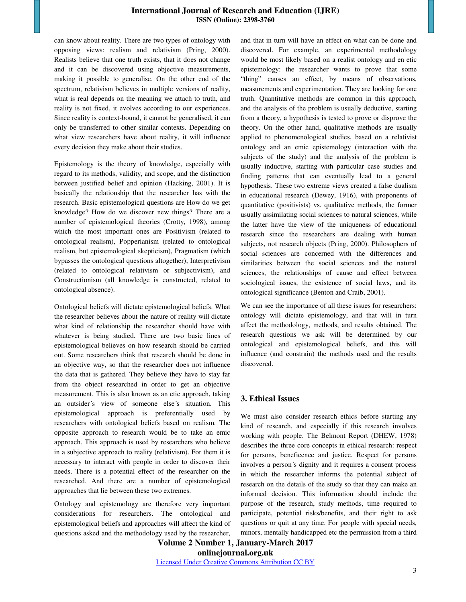can know about reality. There are two types of ontology with opposing views: realism and relativism (Pring, 2000). Realists believe that one truth exists, that it does not change and it can be discovered using objective measurements, making it possible to generalise. On the other end of the spectrum, relativism believes in multiple versions of reality, what is real depends on the meaning we attach to truth, and reality is not fixed, it evolves according to our experiences. Since reality is context-bound, it cannot be generalised, it can only be transferred to other similar contexts. Depending on what view researchers have about reality, it will influence every decision they make about their studies.

Epistemology is the theory of knowledge, especially with regard to its methods, validity, and scope, and the distinction between justified belief and opinion (Hacking, 2001). It is basically the relationship that the researcher has with the research. Basic epistemological questions are How do we get knowledge? How do we discover new things? There are a number of epistemological theories (Crotty, 1998), among which the most important ones are Positivism (related to ontological realism), Popperianism (related to ontological realism, but epistemological skepticism), Pragmatism (which bypasses the ontological questions altogether), Interpretivism (related to ontological relativism or subjectivism), and Constructionism (all knowledge is constructed, related to ontological absence).

Ontological beliefs will dictate epistemological beliefs. What the researcher believes about the nature of reality will dictate what kind of relationship the researcher should have with whatever is being studied. There are two basic lines of epistemological believes on how research should be carried out. Some researchers think that research should be done in an objective way, so that the researcher does not influence the data that is gathered. They believe they have to stay far from the object researched in order to get an objective measurement. This is also known as an etic approach, taking an outsider´s view of someone else´s situation. This epistemological approach is preferentially used by researchers with ontological beliefs based on realism. The opposite approach to research would be to take an emic approach. This approach is used by researchers who believe in a subjective approach to reality (relativism). For them it is necessary to interact with people in order to discover their needs. There is a potential effect of the researcher on the researched. And there are a number of epistemological approaches that lie between these two extremes.

Ontology and epistemology are therefore very important considerations for researchers. The ontological and epistemological beliefs and approaches will affect the kind of questions asked and the methodology used by the researcher, and that in turn will have an effect on what can be done and discovered. For example, an experimental methodology would be most likely based on a realist ontology and en etic epistemology: the researcher wants to prove that some "thing" causes an effect, by means of observations, measurements and experimentation. They are looking for one truth. Quantitative methods are common in this approach, and the analysis of the problem is usually deductive, starting from a theory, a hypothesis is tested to prove or disprove the theory. On the other hand, qualitative methods are usually applied to phenomenological studies, based on a relativist ontology and an emic epistemology (interaction with the subjects of the study) and the analysis of the problem is usually inductive, starting with particular case studies and finding patterns that can eventually lead to a general hypothesis. These two extreme views created a false dualism in educational research (Dewey, 1916), with proponents of quantitative (positivists) vs. qualitative methods, the former usually assimilating social sciences to natural sciences, while the latter have the view of the uniqueness of educational research since the researchers are dealing with human subjects, not research objects (Pring, 2000). Philosophers of social sciences are concerned with the differences and similarities between the social sciences and the natural sciences, the relationships of cause and effect between sociological issues, the existence of social laws, and its ontological significance (Benton and Craib, 2001).

We can see the importance of all these issues for researchers: ontology will dictate epistemology, and that will in turn affect the methodology, methods, and results obtained. The research questions we ask will be determined by our ontological and epistemological beliefs, and this will influence (and constrain) the methods used and the results discovered.

### **3. Ethical Issues**

We must also consider research ethics before starting any kind of research, and especially if this research involves working with people. The Belmont Report (DHEW, 1978) describes the three core concepts in ethical research: respect for persons, beneficence and justice. Respect for persons involves a person´s dignity and it requires a consent process in which the researcher informs the potential subject of research on the details of the study so that they can make an informed decision. This information should include the purpose of the research, study methods, time required to participate, potential risks/benefits, and their right to ask questions or quit at any time. For people with special needs, minors, mentally handicapped etc the permission from a third

**Volume 2 Number 1, January-March 2017 onlinejournal.org.uk**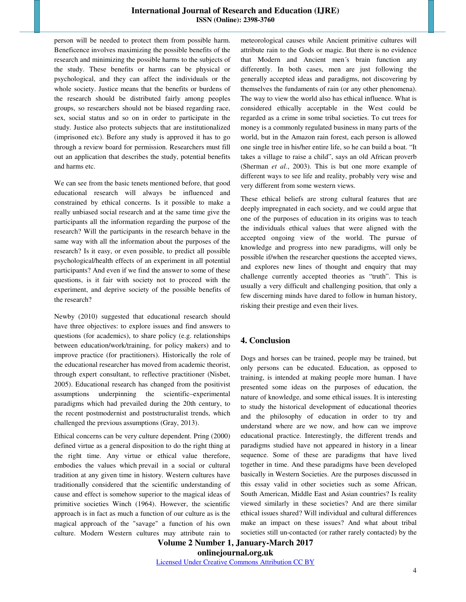person will be needed to protect them from possible harm. Beneficence involves maximizing the possible benefits of the research and minimizing the possible harms to the subjects of the study. These benefits or harms can be physical or psychological, and they can affect the individuals or the whole society. Justice means that the benefits or burdens of the research should be distributed fairly among peoples groups, so researchers should not be biased regarding race, sex, social status and so on in order to participate in the study. Justice also protects subjects that are institutionalized (imprisoned etc). Before any study is approved it has to go through a review board for permission. Researchers must fill out an application that describes the study, potential benefits and harms etc.

We can see from the basic tenets mentioned before, that good educational research will always be influenced and constrained by ethical concerns. Is it possible to make a really unbiased social research and at the same time give the participants all the information regarding the purpose of the research? Will the participants in the research behave in the same way with all the information about the purposes of the research? Is it easy, or even possible, to predict all possible psychological/health effects of an experiment in all potential participants? And even if we find the answer to some of these questions, is it fair with society not to proceed with the experiment, and deprive society of the possible benefits of the research?

Newby (2010) suggested that educational research should have three objectives: to explore issues and find answers to questions (for academics), to share policy (e.g. relationships between education/work/training, for policy makers) and to improve practice (for practitioners). Historically the role of the educational researcher has moved from academic theorist, through expert consultant, to reflective practitioner (Nisbet, 2005). Educational research has changed from the positivist assumptions underpinning the scientific–experimental paradigms which had prevailed during the 20th century, to the recent postmodernist and poststructuralist trends, which challenged the previous assumptions (Gray, 2013).

Ethical concerns can be very culture dependent. Pring (2000) defined virtue as a general disposition to do the right thing at the right time. Any virtue or ethical value therefore, embodies the values which prevail in a social or cultural tradition at any given time in history. Western cultures have traditionally considered that the scientific understanding of cause and effect is somehow superior to the magical ideas of primitive societies Winch (1964). However, the scientific approach is in fact as much a function of our culture as is the magical approach of the "savage" a function of his own culture. Modern Western cultures may attribute rain to meteorological causes while Ancient primitive cultures will attribute rain to the Gods or magic. But there is no evidence that Modern and Ancient men´s brain function any differently. In both cases, men are just following the generally accepted ideas and paradigms, not discovering by themselves the fundaments of rain (or any other phenomena). The way to view the world also has ethical influence. What is considered ethically acceptable in the West could be regarded as a crime in some tribal societies. To cut trees for money is a commonly regulated business in many parts of the world, but in the Amazon rain forest, each person is allowed one single tree in his/her entire life, so he can build a boat. "It takes a village to raise a child", says an old African proverb (Sherman *et al.*, 2003). This is but one more example of different ways to see life and reality, probably very wise and very different from some western views.

These ethical beliefs are strong cultural features that are deeply impregnated in each society, and we could argue that one of the purposes of education in its origins was to teach the individuals ethical values that were aligned with the accepted ongoing view of the world. The pursue of knowledge and progress into new paradigms, will only be possible if/when the researcher questions the accepted views, and explores new lines of thought and enquiry that may challenge currently accepted theories as "truth". This is usually a very difficult and challenging position, that only a few discerning minds have dared to follow in human history, risking their prestige and even their lives.

# **4. Conclusion**

Dogs and horses can be trained, people may be trained, but only persons can be educated. Education, as opposed to training, is intended at making people more human. I have presented some ideas on the purposes of education, the nature of knowledge, and some ethical issues. It is interesting to study the historical development of educational theories and the philosophy of education in order to try and understand where are we now, and how can we improve educational practice. Interestingly, the different trends and paradigms studied have not appeared in history in a linear sequence. Some of these are paradigms that have lived together in time. And these paradigms have been developed basically in Western Societies. Are the purposes discussed in this essay valid in other societies such as some African, South American, Middle East and Asian countries? Is reality viewed similarly in these societies? And are there similar ethical issues shared? Will individual and cultural differences make an impact on these issues? And what about tribal societies still un-contacted (or rather rarely contacted) by the

**Volume 2 Number 1, January-March 2017 onlinejournal.org.uk**